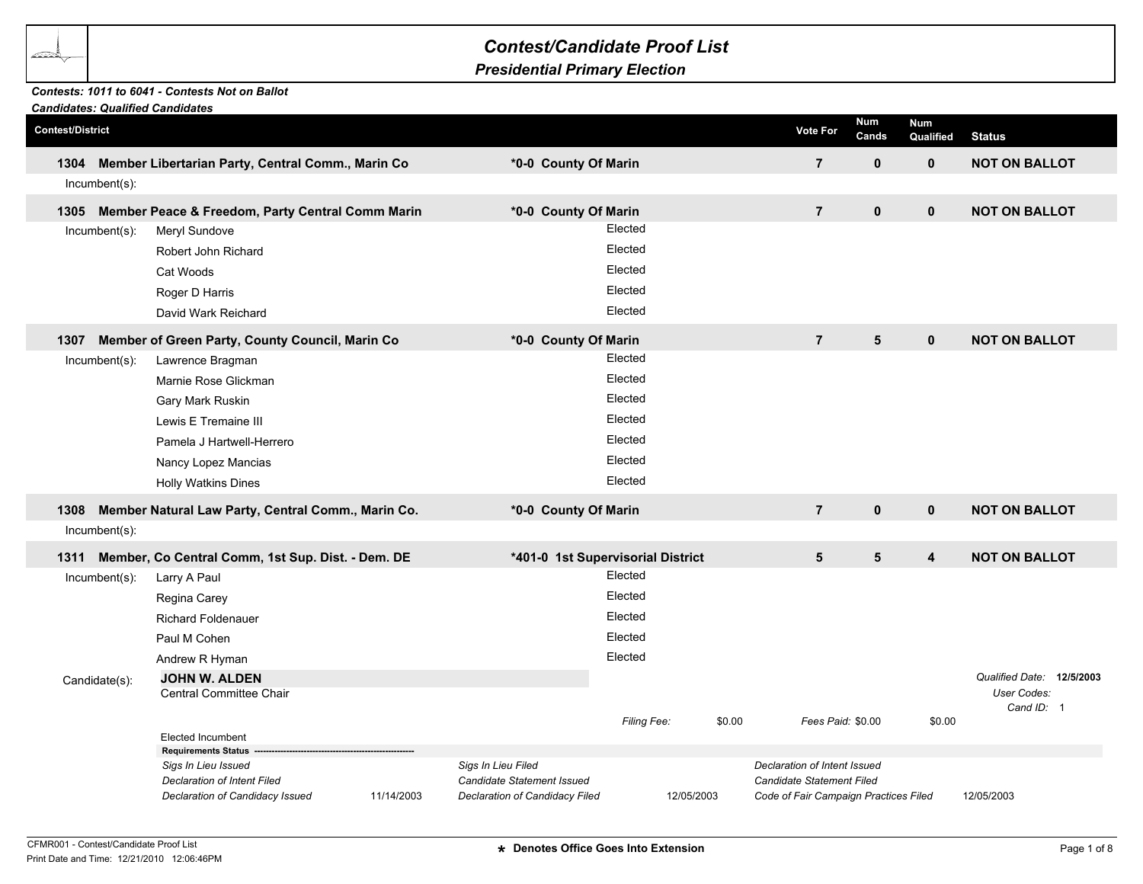## *Presidential Primary Election*

## *Contests: 1011 to 6041 - Contests Not on Ballot*

|                         |                  | <b>Candidates: Qualified Candidates</b>                |            |                                   |             |            |                                       |                     |                         |                           |  |
|-------------------------|------------------|--------------------------------------------------------|------------|-----------------------------------|-------------|------------|---------------------------------------|---------------------|-------------------------|---------------------------|--|
| <b>Contest/District</b> |                  |                                                        |            |                                   |             |            | <b>Vote For</b>                       | <b>Num</b><br>Cands | <b>Num</b><br>Qualified | <b>Status</b>             |  |
| 1304                    |                  | Member Libertarian Party, Central Comm., Marin Co      |            | *0-0 County Of Marin              |             |            | $\overline{7}$                        | $\mathbf 0$         | $\mathbf 0$             | <b>NOT ON BALLOT</b>      |  |
|                         | $Incumbent(s)$ : |                                                        |            |                                   |             |            |                                       |                     |                         |                           |  |
|                         |                  | 1305 Member Peace & Freedom, Party Central Comm Marin  |            | *0-0 County Of Marin              |             |            | $\overline{7}$                        | $\mathbf{0}$        | $\mathbf 0$             | <b>NOT ON BALLOT</b>      |  |
|                         | Incumbent(s):    | Meryl Sundove                                          |            |                                   | Elected     |            |                                       |                     |                         |                           |  |
|                         |                  | Robert John Richard                                    |            |                                   | Elected     |            |                                       |                     |                         |                           |  |
|                         |                  | Cat Woods                                              |            |                                   | Elected     |            |                                       |                     |                         |                           |  |
|                         |                  | Roger D Harris                                         |            |                                   | Elected     |            |                                       |                     |                         |                           |  |
|                         |                  | David Wark Reichard                                    |            |                                   | Elected     |            |                                       |                     |                         |                           |  |
| 1307                    |                  | Member of Green Party, County Council, Marin Co        |            | *0-0 County Of Marin              |             |            | $\overline{7}$                        | 5                   | $\mathbf{0}$            | <b>NOT ON BALLOT</b>      |  |
|                         | Incumbent(s):    | Lawrence Bragman                                       |            |                                   | Elected     |            |                                       |                     |                         |                           |  |
|                         |                  | Marnie Rose Glickman                                   |            |                                   | Elected     |            |                                       |                     |                         |                           |  |
|                         |                  | Gary Mark Ruskin                                       |            |                                   | Elected     |            |                                       |                     |                         |                           |  |
|                         |                  | Lewis E Tremaine III                                   |            |                                   | Elected     |            |                                       |                     |                         |                           |  |
|                         |                  | Pamela J Hartwell-Herrero                              |            |                                   | Elected     |            |                                       |                     |                         |                           |  |
|                         |                  | Nancy Lopez Mancias                                    |            |                                   | Elected     |            |                                       |                     |                         |                           |  |
|                         |                  | <b>Holly Watkins Dines</b>                             |            |                                   | Elected     |            |                                       |                     |                         |                           |  |
| 1308                    |                  | Member Natural Law Party, Central Comm., Marin Co.     |            | *0-0 County Of Marin              |             |            | $\overline{7}$                        | $\mathbf 0$         | $\mathbf 0$             | <b>NOT ON BALLOT</b>      |  |
|                         | Incumbent(s):    |                                                        |            |                                   |             |            |                                       |                     |                         |                           |  |
| 1311                    |                  | Member, Co Central Comm, 1st Sup. Dist. - Dem. DE      |            | *401-0 1st Supervisorial District |             |            | 5                                     | 5                   | $\overline{\mathbf{4}}$ | <b>NOT ON BALLOT</b>      |  |
|                         | Incumbent(s):    | Larry A Paul                                           |            |                                   | Elected     |            |                                       |                     |                         |                           |  |
|                         |                  | Regina Carey                                           |            |                                   | Elected     |            |                                       |                     |                         |                           |  |
|                         |                  | <b>Richard Foldenauer</b>                              |            |                                   | Elected     |            |                                       |                     |                         |                           |  |
|                         |                  | Paul M Cohen                                           |            |                                   | Elected     |            |                                       |                     |                         |                           |  |
|                         |                  | Andrew R Hyman                                         |            |                                   | Elected     |            |                                       |                     |                         |                           |  |
|                         | Candidate(s):    | <b>JOHN W. ALDEN</b>                                   |            |                                   |             |            |                                       |                     |                         | Qualified Date: 12/5/2003 |  |
|                         |                  | Central Committee Chair                                |            |                                   |             |            |                                       |                     |                         | User Codes:<br>Cand ID: 1 |  |
|                         |                  |                                                        |            |                                   | Filing Fee: | \$0.00     | Fees Paid: \$0.00                     |                     | \$0.00                  |                           |  |
|                         |                  | <b>Elected Incumbent</b><br><b>Requirements Status</b> |            |                                   |             |            |                                       |                     |                         |                           |  |
|                         |                  | Sigs In Lieu Issued                                    |            | Sigs In Lieu Filed                |             |            | Declaration of Intent Issued          |                     |                         |                           |  |
|                         |                  | <b>Declaration of Intent Filed</b>                     |            | Candidate Statement Issued        |             |            | <b>Candidate Statement Filed</b>      |                     |                         |                           |  |
|                         |                  | Declaration of Candidacy Issued                        | 11/14/2003 | Declaration of Candidacy Filed    |             | 12/05/2003 | Code of Fair Campaign Practices Filed |                     |                         | 12/05/2003                |  |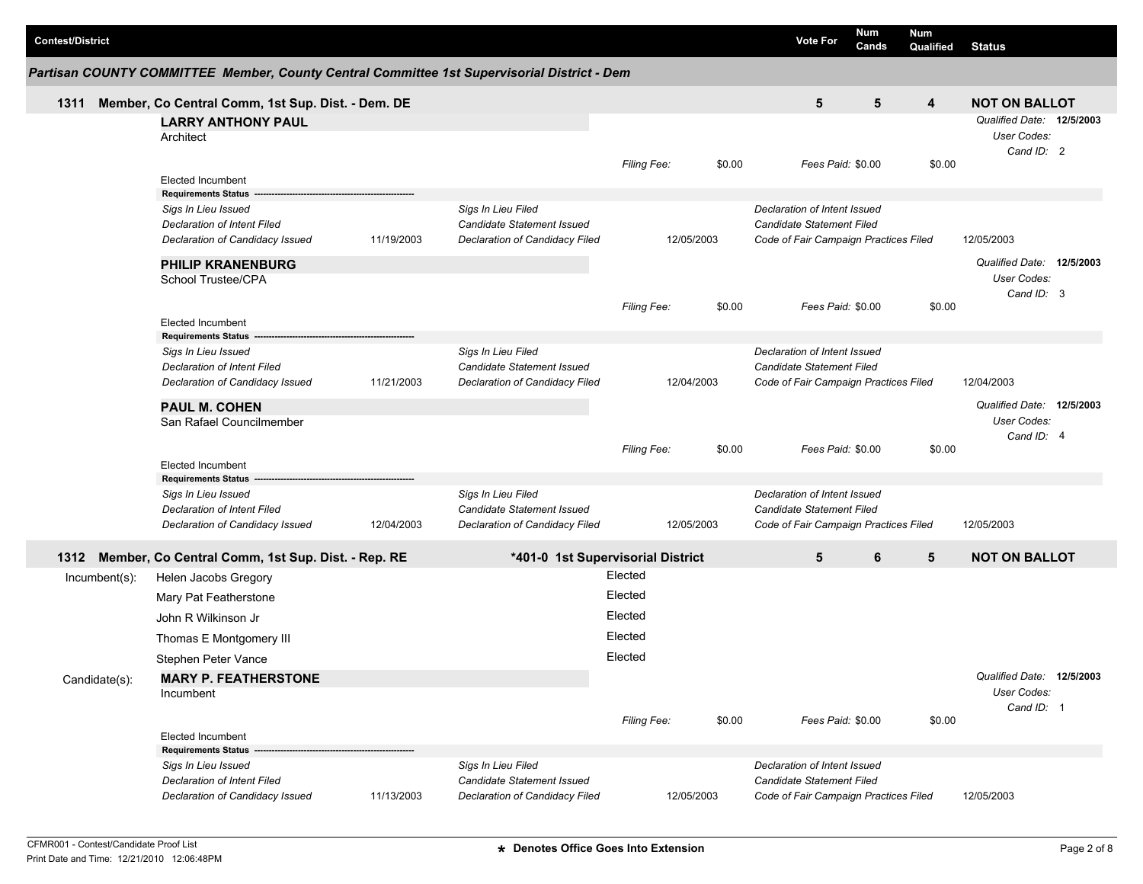| <b>Contest/District</b> |                                                                                             |            |                                   |                    |            |        | <b>Vote For</b>                       | <b>Num</b><br>Cands | Num<br>Qualified | <b>Status</b>                            |  |
|-------------------------|---------------------------------------------------------------------------------------------|------------|-----------------------------------|--------------------|------------|--------|---------------------------------------|---------------------|------------------|------------------------------------------|--|
|                         | Partisan COUNTY COMMITTEE Member, County Central Committee 1st Supervisorial District - Dem |            |                                   |                    |            |        |                                       |                     |                  |                                          |  |
| 1311                    | Member, Co Central Comm, 1st Sup. Dist. - Dem. DE                                           |            |                                   |                    |            |        | 5                                     | 5                   | 4                | <b>NOT ON BALLOT</b>                     |  |
|                         | <b>LARRY ANTHONY PAUL</b><br>Architect                                                      |            |                                   |                    |            |        |                                       |                     |                  | Qualified Date: 12/5/2003<br>User Codes: |  |
|                         | <b>Elected Incumbent</b>                                                                    |            |                                   | Filing Fee:        |            | \$0.00 | Fees Paid: \$0.00                     |                     | \$0.00           | Cand ID: 2                               |  |
|                         | <b>Requirements Status</b>                                                                  |            |                                   |                    |            |        |                                       |                     |                  |                                          |  |
|                         | Sigs In Lieu Issued                                                                         |            | Sigs In Lieu Filed                |                    |            |        | Declaration of Intent Issued          |                     |                  |                                          |  |
|                         | Declaration of Intent Filed                                                                 |            | Candidate Statement Issued        |                    |            |        | <b>Candidate Statement Filed</b>      |                     |                  |                                          |  |
|                         | Declaration of Candidacy Issued                                                             | 11/19/2003 | Declaration of Candidacy Filed    |                    | 12/05/2003 |        | Code of Fair Campaign Practices Filed |                     |                  | 12/05/2003                               |  |
|                         | <b>PHILIP KRANENBURG</b>                                                                    |            |                                   |                    |            |        |                                       |                     |                  | Qualified Date: 12/5/2003                |  |
|                         | School Trustee/CPA                                                                          |            |                                   |                    |            |        |                                       |                     |                  | User Codes:                              |  |
|                         |                                                                                             |            |                                   | Filing Fee:        |            | \$0.00 | Fees Paid: \$0.00                     |                     | \$0.00           | Cand ID: 3                               |  |
|                         | <b>Elected Incumbent</b>                                                                    |            |                                   |                    |            |        |                                       |                     |                  |                                          |  |
|                         | <b>Requirements Status</b>                                                                  |            |                                   |                    |            |        |                                       |                     |                  |                                          |  |
|                         | Sigs In Lieu Issued                                                                         |            | Sigs In Lieu Filed                |                    |            |        | Declaration of Intent Issued          |                     |                  |                                          |  |
|                         | <b>Declaration of Intent Filed</b>                                                          |            | <b>Candidate Statement Issued</b> |                    |            |        | <b>Candidate Statement Filed</b>      |                     |                  |                                          |  |
|                         | Declaration of Candidacy Issued                                                             | 11/21/2003 | Declaration of Candidacy Filed    |                    | 12/04/2003 |        | Code of Fair Campaign Practices Filed |                     |                  | 12/04/2003                               |  |
|                         | <b>PAUL M. COHEN</b>                                                                        |            |                                   |                    |            |        |                                       |                     |                  | Qualified Date: 12/5/2003                |  |
|                         | San Rafael Councilmember                                                                    |            |                                   |                    |            |        |                                       |                     |                  | User Codes:                              |  |
|                         |                                                                                             |            |                                   |                    |            |        |                                       |                     |                  | Cand ID: 4                               |  |
|                         | <b>Elected Incumbent</b>                                                                    |            |                                   | <b>Filing Fee:</b> |            | \$0.00 | Fees Paid: \$0.00                     |                     | \$0.00           |                                          |  |
|                         | <b>Requirements Status</b>                                                                  |            |                                   |                    |            |        |                                       |                     |                  |                                          |  |
|                         | Sigs In Lieu Issued                                                                         |            | Sigs In Lieu Filed                |                    |            |        | Declaration of Intent Issued          |                     |                  |                                          |  |
|                         | Declaration of Intent Filed                                                                 |            | Candidate Statement Issued        |                    |            |        | Candidate Statement Filed             |                     |                  |                                          |  |
|                         | Declaration of Candidacy Issued                                                             | 12/04/2003 | Declaration of Candidacy Filed    |                    | 12/05/2003 |        | Code of Fair Campaign Practices Filed |                     |                  | 12/05/2003                               |  |
| 1312                    | Member, Co Central Comm, 1st Sup. Dist. - Rep. RE                                           |            | *401-0 1st Supervisorial District |                    |            |        | 5                                     | 6                   | 5                | <b>NOT ON BALLOT</b>                     |  |
| $Incumbent(s)$ :        | Helen Jacobs Gregory                                                                        |            |                                   | Elected            |            |        |                                       |                     |                  |                                          |  |
|                         | Mary Pat Featherstone                                                                       |            |                                   | Elected            |            |        |                                       |                     |                  |                                          |  |
|                         | John R Wilkinson Jr                                                                         |            |                                   | Elected            |            |        |                                       |                     |                  |                                          |  |
|                         | Thomas E Montgomery III                                                                     |            |                                   | Elected            |            |        |                                       |                     |                  |                                          |  |
|                         | Stephen Peter Vance                                                                         |            |                                   | Elected            |            |        |                                       |                     |                  |                                          |  |
|                         | <b>MARY P. FEATHERSTONE</b>                                                                 |            |                                   |                    |            |        |                                       |                     |                  | Qualified Date: 12/5/2003                |  |
| Candidate(s):           | Incumbent                                                                                   |            |                                   |                    |            |        |                                       |                     |                  | User Codes:                              |  |
|                         |                                                                                             |            |                                   |                    |            |        |                                       |                     |                  | Cand ID: 1                               |  |
|                         |                                                                                             |            |                                   | Filing Fee:        |            | \$0.00 | Fees Paid: \$0.00                     |                     | \$0.00           |                                          |  |
|                         | <b>Elected Incumbent</b><br><b>Requirements Status</b>                                      |            |                                   |                    |            |        |                                       |                     |                  |                                          |  |
|                         | Sigs In Lieu Issued                                                                         |            | Sigs In Lieu Filed                |                    |            |        | Declaration of Intent Issued          |                     |                  |                                          |  |
|                         | Declaration of Intent Filed                                                                 |            | Candidate Statement Issued        |                    |            |        | Candidate Statement Filed             |                     |                  |                                          |  |
|                         | Declaration of Candidacy Issued                                                             | 11/13/2003 | Declaration of Candidacy Filed    |                    | 12/05/2003 |        | Code of Fair Campaign Practices Filed |                     |                  | 12/05/2003                               |  |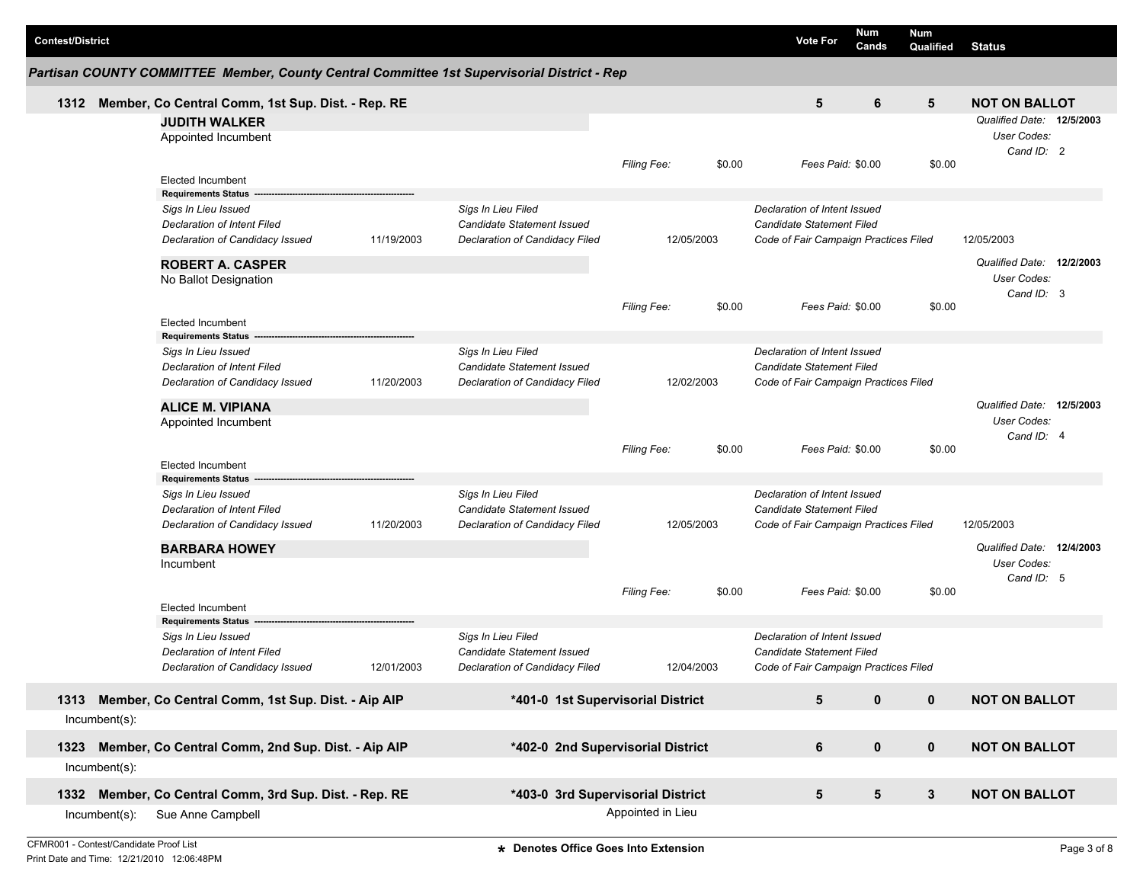| <b>Contest/District</b> |                  |                                                                                             |            |                                                  |                    |        | <b>Vote For</b>                                           | <b>Num</b><br>Cands | Num<br><b>Qualified</b> | <b>Status</b>             |  |
|-------------------------|------------------|---------------------------------------------------------------------------------------------|------------|--------------------------------------------------|--------------------|--------|-----------------------------------------------------------|---------------------|-------------------------|---------------------------|--|
|                         |                  | Partisan COUNTY COMMITTEE Member, County Central Committee 1st Supervisorial District - Rep |            |                                                  |                    |        |                                                           |                     |                         |                           |  |
| 1312                    |                  | Member, Co Central Comm, 1st Sup. Dist. - Rep. RE                                           |            |                                                  |                    |        | 5                                                         | 6                   | 5                       | <b>NOT ON BALLOT</b>      |  |
|                         |                  | <b>JUDITH WALKER</b>                                                                        |            |                                                  |                    |        |                                                           |                     |                         | Qualified Date: 12/5/2003 |  |
|                         |                  | Appointed Incumbent                                                                         |            |                                                  |                    |        |                                                           |                     |                         | User Codes:               |  |
|                         |                  |                                                                                             |            |                                                  |                    |        |                                                           |                     |                         | Cand ID: 2                |  |
|                         |                  |                                                                                             |            |                                                  | Filing Fee:        | \$0.00 | Fees Paid: \$0.00                                         |                     | \$0.00                  |                           |  |
|                         |                  | Elected Incumbent<br><b>Requirements Status</b>                                             |            |                                                  |                    |        |                                                           |                     |                         |                           |  |
|                         |                  | Sigs In Lieu Issued                                                                         |            | Sigs In Lieu Filed                               |                    |        | Declaration of Intent Issued                              |                     |                         |                           |  |
|                         |                  | Declaration of Intent Filed                                                                 |            | Candidate Statement Issued                       |                    |        | Candidate Statement Filed                                 |                     |                         |                           |  |
|                         |                  | Declaration of Candidacy Issued                                                             | 11/19/2003 | Declaration of Candidacy Filed                   | 12/05/2003         |        | Code of Fair Campaign Practices Filed                     |                     |                         | 12/05/2003                |  |
|                         |                  | <b>ROBERT A. CASPER</b>                                                                     |            |                                                  |                    |        |                                                           |                     |                         | Qualified Date: 12/2/2003 |  |
|                         |                  | No Ballot Designation                                                                       |            |                                                  |                    |        |                                                           |                     |                         | User Codes:               |  |
|                         |                  |                                                                                             |            |                                                  |                    |        |                                                           |                     |                         | Cand ID: 3                |  |
|                         |                  |                                                                                             |            |                                                  | <b>Filing Fee:</b> | \$0.00 | Fees Paid: \$0.00                                         |                     | \$0.00                  |                           |  |
|                         |                  | Elected Incumbent                                                                           |            |                                                  |                    |        |                                                           |                     |                         |                           |  |
|                         |                  | <b>Requirements Status</b>                                                                  |            |                                                  |                    |        |                                                           |                     |                         |                           |  |
|                         |                  | Sigs In Lieu Issued<br>Declaration of Intent Filed                                          |            | Sigs In Lieu Filed<br>Candidate Statement Issued |                    |        | Declaration of Intent Issued<br>Candidate Statement Filed |                     |                         |                           |  |
|                         |                  | Declaration of Candidacy Issued                                                             | 11/20/2003 | Declaration of Candidacy Filed                   | 12/02/2003         |        | Code of Fair Campaign Practices Filed                     |                     |                         |                           |  |
|                         |                  |                                                                                             |            |                                                  |                    |        |                                                           |                     |                         |                           |  |
|                         |                  | <b>ALICE M. VIPIANA</b>                                                                     |            |                                                  |                    |        |                                                           |                     |                         | Qualified Date: 12/5/2003 |  |
|                         |                  | Appointed Incumbent                                                                         |            |                                                  |                    |        |                                                           |                     |                         | User Codes:               |  |
|                         |                  |                                                                                             |            |                                                  | <b>Filing Fee:</b> | \$0.00 | Fees Paid: \$0.00                                         |                     | \$0.00                  | Cand ID: 4                |  |
|                         |                  | <b>Elected Incumbent</b>                                                                    |            |                                                  |                    |        |                                                           |                     |                         |                           |  |
|                         |                  | <b>Requirements Status</b>                                                                  |            |                                                  |                    |        |                                                           |                     |                         |                           |  |
|                         |                  | Sigs In Lieu Issued                                                                         |            | Sigs In Lieu Filed                               |                    |        | Declaration of Intent Issued                              |                     |                         |                           |  |
|                         |                  | Declaration of Intent Filed                                                                 |            | Candidate Statement Issued                       |                    |        | Candidate Statement Filed                                 |                     |                         |                           |  |
|                         |                  | Declaration of Candidacy Issued                                                             | 11/20/2003 | Declaration of Candidacy Filed                   | 12/05/2003         |        | Code of Fair Campaign Practices Filed                     |                     |                         | 12/05/2003                |  |
|                         |                  | <b>BARBARA HOWEY</b>                                                                        |            |                                                  |                    |        |                                                           |                     |                         | Qualified Date: 12/4/2003 |  |
|                         |                  | Incumbent                                                                                   |            |                                                  |                    |        |                                                           |                     |                         | User Codes:               |  |
|                         |                  |                                                                                             |            |                                                  |                    |        |                                                           |                     |                         | Cand ID: 5                |  |
|                         |                  |                                                                                             |            |                                                  | <b>Filing Fee:</b> | \$0.00 | Fees Paid: \$0.00                                         |                     | \$0.00                  |                           |  |
|                         |                  | <b>Elected Incumbent</b><br><b>Requirements Status</b>                                      |            |                                                  |                    |        |                                                           |                     |                         |                           |  |
|                         |                  | Sigs In Lieu Issued                                                                         |            | Sigs In Lieu Filed                               |                    |        | Declaration of Intent Issued                              |                     |                         |                           |  |
|                         |                  | Declaration of Intent Filed                                                                 |            | Candidate Statement Issued                       |                    |        | Candidate Statement Filed                                 |                     |                         |                           |  |
|                         |                  | Declaration of Candidacy Issued                                                             | 12/01/2003 | Declaration of Candidacy Filed                   | 12/04/2003         |        | Code of Fair Campaign Practices Filed                     |                     |                         |                           |  |
|                         |                  |                                                                                             |            |                                                  |                    |        |                                                           |                     |                         |                           |  |
| 1313                    |                  | Member, Co Central Comm, 1st Sup. Dist. - Aip AIP                                           |            | *401-0 1st Supervisorial District                |                    |        | 5                                                         | $\mathbf 0$         | $\mathbf 0$             | <b>NOT ON BALLOT</b>      |  |
|                         | Incumbent(s):    |                                                                                             |            |                                                  |                    |        |                                                           |                     |                         |                           |  |
| 1323                    |                  | Member, Co Central Comm, 2nd Sup. Dist. - Aip AIP                                           |            | *402-0 2nd Supervisorial District                |                    |        | $\bf 6$                                                   | $\pmb{0}$           | $\pmb{0}$               | <b>NOT ON BALLOT</b>      |  |
|                         | $Incumbent(s)$ : |                                                                                             |            |                                                  |                    |        |                                                           |                     |                         |                           |  |
| 1332                    |                  | Member, Co Central Comm, 3rd Sup. Dist. - Rep. RE                                           |            | *403-0 3rd Supervisorial District                |                    |        | 5                                                         | 5                   | $\mathbf{3}$            | <b>NOT ON BALLOT</b>      |  |
|                         | $Incumbent(s)$ : | Sue Anne Campbell                                                                           |            |                                                  | Appointed in Lieu  |        |                                                           |                     |                         |                           |  |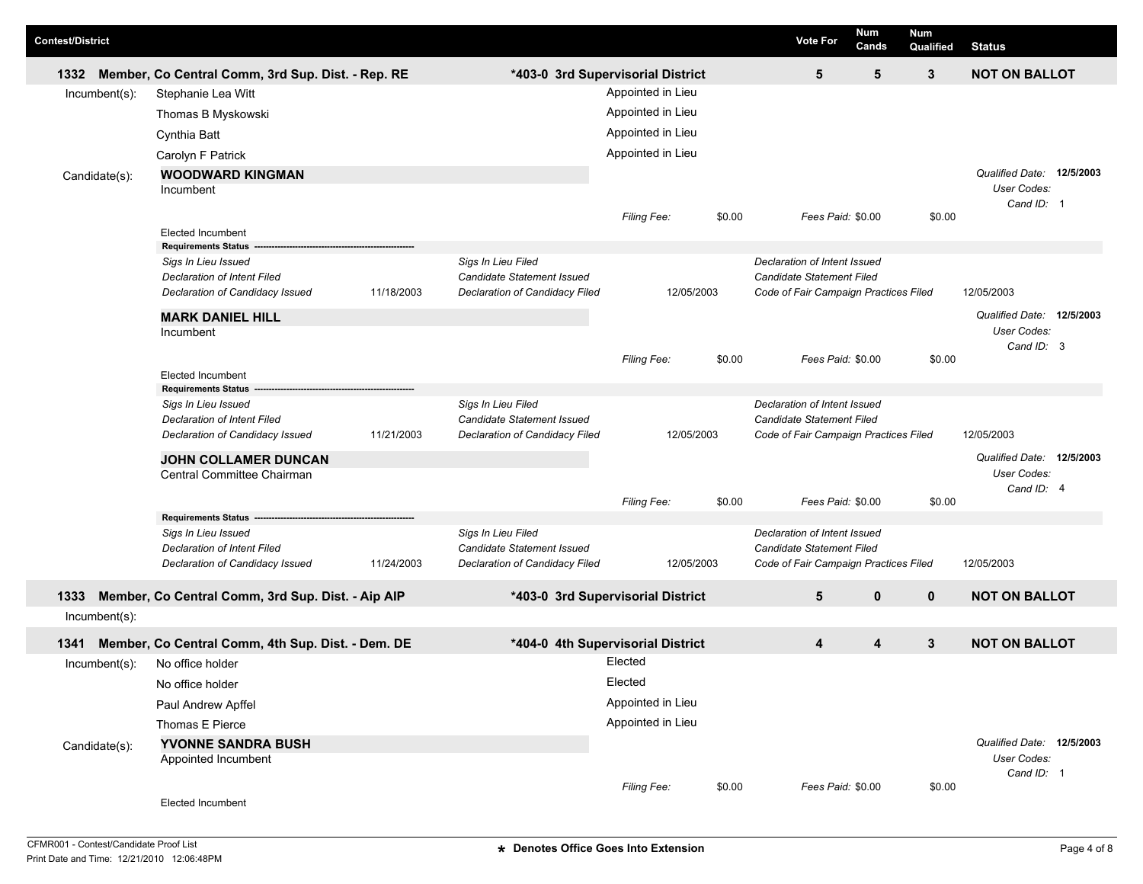| <b>Contest/District</b> |                                                        |            |                                                  |                                   |        | <b>Vote For</b>                                           | <b>Num</b><br>Cands | <b>Num</b><br>Qualified | <b>Status</b>                                          |  |
|-------------------------|--------------------------------------------------------|------------|--------------------------------------------------|-----------------------------------|--------|-----------------------------------------------------------|---------------------|-------------------------|--------------------------------------------------------|--|
| 1332                    | Member, Co Central Comm, 3rd Sup. Dist. - Rep. RE      |            |                                                  | *403-0 3rd Supervisorial District |        | 5                                                         | 5                   | 3                       | <b>NOT ON BALLOT</b>                                   |  |
| $Incumbent(s)$ :        | Stephanie Lea Witt                                     |            |                                                  | Appointed in Lieu                 |        |                                                           |                     |                         |                                                        |  |
|                         | Thomas B Myskowski                                     |            |                                                  | Appointed in Lieu                 |        |                                                           |                     |                         |                                                        |  |
|                         | Cynthia Batt                                           |            |                                                  | Appointed in Lieu                 |        |                                                           |                     |                         |                                                        |  |
|                         | Carolyn F Patrick                                      |            |                                                  | Appointed in Lieu                 |        |                                                           |                     |                         |                                                        |  |
| Candidate(s):           | <b>WOODWARD KINGMAN</b><br>Incumbent                   |            |                                                  |                                   |        |                                                           |                     |                         | Qualified Date: 12/5/2003<br>User Codes:<br>Cand ID: 1 |  |
|                         |                                                        |            |                                                  | Filing Fee:                       | \$0.00 | Fees Paid: \$0.00                                         |                     | \$0.00                  |                                                        |  |
|                         | <b>Elected Incumbent</b><br><b>Requirements Status</b> |            |                                                  |                                   |        |                                                           |                     |                         |                                                        |  |
|                         | Sigs In Lieu Issued                                    |            | Sigs In Lieu Filed                               |                                   |        | Declaration of Intent Issued                              |                     |                         |                                                        |  |
|                         | <b>Declaration of Intent Filed</b>                     |            | Candidate Statement Issued                       |                                   |        | Candidate Statement Filed                                 |                     |                         |                                                        |  |
|                         | Declaration of Candidacy Issued                        | 11/18/2003 | Declaration of Candidacy Filed                   | 12/05/2003                        |        | Code of Fair Campaign Practices Filed                     |                     |                         | 12/05/2003                                             |  |
|                         | <b>MARK DANIEL HILL</b><br>Incumbent                   |            |                                                  |                                   |        |                                                           |                     |                         | Qualified Date: 12/5/2003<br>User Codes:<br>Cand ID: 3 |  |
|                         |                                                        |            |                                                  | Filing Fee:                       | \$0.00 | Fees Paid: \$0.00                                         |                     | \$0.00                  |                                                        |  |
|                         | <b>Elected Incumbent</b><br><b>Requirements Status</b> |            |                                                  |                                   |        |                                                           |                     |                         |                                                        |  |
|                         | Sigs In Lieu Issued                                    |            | Sigs In Lieu Filed                               |                                   |        | Declaration of Intent Issued                              |                     |                         |                                                        |  |
|                         | <b>Declaration of Intent Filed</b>                     |            | Candidate Statement Issued                       |                                   |        | Candidate Statement Filed                                 |                     |                         |                                                        |  |
|                         | Declaration of Candidacy Issued                        | 11/21/2003 | Declaration of Candidacy Filed                   | 12/05/2003                        |        | Code of Fair Campaign Practices Filed                     |                     |                         | 12/05/2003                                             |  |
|                         | <b>JOHN COLLAMER DUNCAN</b>                            |            |                                                  |                                   |        |                                                           |                     |                         | Qualified Date: 12/5/2003<br>User Codes:               |  |
|                         | Central Committee Chairman                             |            |                                                  |                                   |        |                                                           |                     |                         | Cand ID: 4                                             |  |
|                         |                                                        |            |                                                  | <b>Filing Fee:</b>                | \$0.00 | Fees Paid: \$0.00                                         |                     | \$0.00                  |                                                        |  |
|                         | <b>Requirements Status</b>                             |            |                                                  |                                   |        |                                                           |                     |                         |                                                        |  |
|                         | Sigs In Lieu Issued<br>Declaration of Intent Filed     |            | Sigs In Lieu Filed<br>Candidate Statement Issued |                                   |        | Declaration of Intent Issued<br>Candidate Statement Filed |                     |                         |                                                        |  |
|                         | Declaration of Candidacy Issued                        | 11/24/2003 | Declaration of Candidacy Filed                   | 12/05/2003                        |        | Code of Fair Campaign Practices Filed                     |                     |                         | 12/05/2003                                             |  |
| 1333                    | Member, Co Central Comm, 3rd Sup. Dist. - Aip AIP      |            |                                                  | *403-0 3rd Supervisorial District |        | 5                                                         | $\mathbf 0$         | $\mathbf 0$             | <b>NOT ON BALLOT</b>                                   |  |
| $Incumbent(s)$ :        |                                                        |            |                                                  |                                   |        |                                                           |                     |                         |                                                        |  |
| 1341                    | Member, Co Central Comm, 4th Sup. Dist. - Dem. DE      |            |                                                  | *404-0 4th Supervisorial District |        | 4                                                         | 4                   | 3                       | <b>NOT ON BALLOT</b>                                   |  |
| Incumbent(s):           | No office holder                                       |            |                                                  | Elected                           |        |                                                           |                     |                         |                                                        |  |
|                         | No office holder                                       |            |                                                  | Elected                           |        |                                                           |                     |                         |                                                        |  |
|                         | Paul Andrew Apffel                                     |            |                                                  | Appointed in Lieu                 |        |                                                           |                     |                         |                                                        |  |
|                         | Thomas E Pierce                                        |            |                                                  | Appointed in Lieu                 |        |                                                           |                     |                         |                                                        |  |
| Candidate(s):           | YVONNE SANDRA BUSH<br>Appointed Incumbent              |            |                                                  |                                   |        |                                                           |                     |                         | Qualified Date: 12/5/2003<br>User Codes:               |  |
|                         | Elected Incumbent                                      |            |                                                  | Filing Fee:                       | \$0.00 | Fees Paid: \$0.00                                         |                     | \$0.00                  | Cand ID: 1                                             |  |
|                         |                                                        |            |                                                  |                                   |        |                                                           |                     |                         |                                                        |  |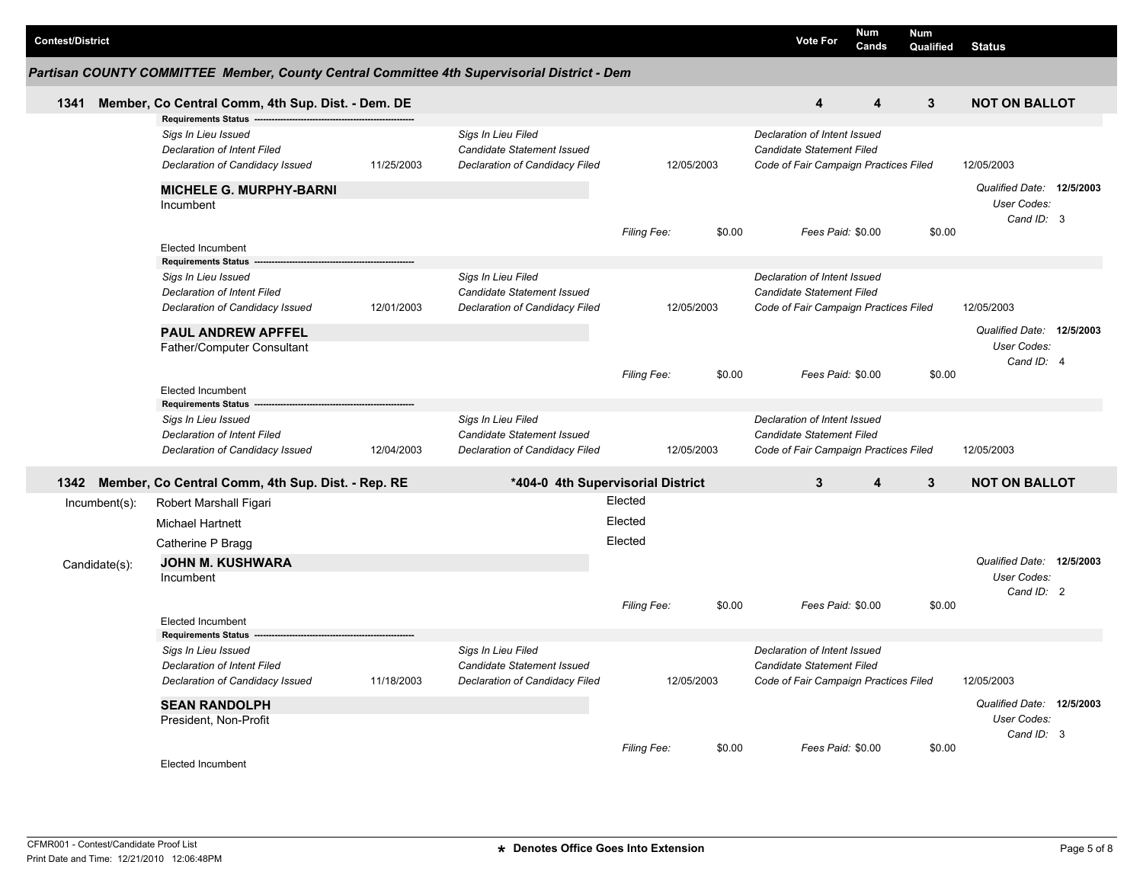| <b>Contest/District</b>        |                                                                                                                     |            |                                                                                           |                               |        | <b>Vote For</b>                                                                                    | <b>Num</b><br>Cands     | <b>Num</b><br><b>Qualified</b> | <b>Status</b>                                          |  |
|--------------------------------|---------------------------------------------------------------------------------------------------------------------|------------|-------------------------------------------------------------------------------------------|-------------------------------|--------|----------------------------------------------------------------------------------------------------|-------------------------|--------------------------------|--------------------------------------------------------|--|
|                                | Partisan COUNTY COMMITTEE Member, County Central Committee 4th Supervisorial District - Dem                         |            |                                                                                           |                               |        |                                                                                                    |                         |                                |                                                        |  |
| 1341                           | Member, Co Central Comm, 4th Sup. Dist. - Dem. DE                                                                   |            |                                                                                           |                               |        | $\overline{\mathbf{4}}$                                                                            | $\overline{\mathbf{4}}$ | $\mathbf{3}$                   | <b>NOT ON BALLOT</b>                                   |  |
|                                | <b>Requirements Status</b><br>Sigs In Lieu Issued<br>Declaration of Intent Filed<br>Declaration of Candidacy Issued | 11/25/2003 | Sigs In Lieu Filed<br>Candidate Statement Issued<br>Declaration of Candidacy Filed        | 12/05/2003                    |        | Declaration of Intent Issued<br>Candidate Statement Filed<br>Code of Fair Campaign Practices Filed |                         |                                | 12/05/2003                                             |  |
|                                | <b>MICHELE G. MURPHY-BARNI</b><br>Incumbent                                                                         |            |                                                                                           | Filing Fee:                   | \$0.00 | Fees Paid: \$0.00                                                                                  |                         | \$0.00                         | Qualified Date: 12/5/2003<br>User Codes:<br>Cand ID: 3 |  |
|                                | <b>Elected Incumbent</b>                                                                                            |            |                                                                                           |                               |        |                                                                                                    |                         |                                |                                                        |  |
|                                | <b>Requirements Status</b><br>Sigs In Lieu Issued<br>Declaration of Intent Filed<br>Declaration of Candidacy Issued | 12/01/2003 | Sigs In Lieu Filed<br>Candidate Statement Issued<br><b>Declaration of Candidacy Filed</b> | 12/05/2003                    |        | Declaration of Intent Issued<br>Candidate Statement Filed<br>Code of Fair Campaign Practices Filed |                         |                                | 12/05/2003                                             |  |
|                                | PAUL ANDREW APFFEL<br>Father/Computer Consultant                                                                    |            |                                                                                           |                               |        |                                                                                                    |                         |                                | Qualified Date: 12/5/2003<br>User Codes:<br>Cand ID: 4 |  |
|                                | <b>Elected Incumbent</b>                                                                                            |            |                                                                                           | Filing Fee:                   | \$0.00 | Fees Paid: \$0.00                                                                                  |                         | \$0.00                         |                                                        |  |
|                                | <b>Requirements Status</b><br>Sigs In Lieu Issued<br>Declaration of Intent Filed<br>Declaration of Candidacy Issued | 12/04/2003 | Sigs In Lieu Filed<br>Candidate Statement Issued<br>Declaration of Candidacy Filed        | 12/05/2003                    |        | Declaration of Intent Issued<br>Candidate Statement Filed<br>Code of Fair Campaign Practices Filed |                         |                                | 12/05/2003                                             |  |
| 1342                           | Member, Co Central Comm, 4th Sup. Dist. - Rep. RE                                                                   |            | *404-0 4th Supervisorial District                                                         |                               |        | $\mathbf{3}$                                                                                       | $\boldsymbol{4}$        | $\mathbf{3}$                   | <b>NOT ON BALLOT</b>                                   |  |
| Incumbent(s):<br>Candidate(s): | Robert Marshall Figari<br><b>Michael Hartnett</b><br>Catherine P Bragg<br><b>JOHN M. KUSHWARA</b><br>Incumbent      |            |                                                                                           | Elected<br>Elected<br>Elected |        |                                                                                                    |                         |                                | Qualified Date: 12/5/2003<br>User Codes:               |  |
|                                |                                                                                                                     |            |                                                                                           | Filing Fee:                   | \$0.00 | Fees Paid: \$0.00                                                                                  |                         | \$0.00                         | Cand ID: 2                                             |  |
|                                | <b>Elected Incumbent</b><br><b>Requirements Status</b>                                                              |            |                                                                                           |                               |        |                                                                                                    |                         |                                |                                                        |  |
|                                | Sigs In Lieu Issued<br>Declaration of Intent Filed<br>Declaration of Candidacy Issued                               | 11/18/2003 | Sigs In Lieu Filed<br>Candidate Statement Issued<br>Declaration of Candidacy Filed        | 12/05/2003                    |        | Declaration of Intent Issued<br>Candidate Statement Filed<br>Code of Fair Campaign Practices Filed |                         |                                | 12/05/2003                                             |  |
|                                | <b>SEAN RANDOLPH</b><br>President, Non-Profit                                                                       |            |                                                                                           |                               |        |                                                                                                    |                         |                                | Qualified Date: 12/5/2003<br>User Codes:<br>Cand ID: 3 |  |
|                                | <b>Elected Incumbent</b>                                                                                            |            |                                                                                           | Filing Fee:                   | \$0.00 | Fees Paid: \$0.00                                                                                  |                         | \$0.00                         |                                                        |  |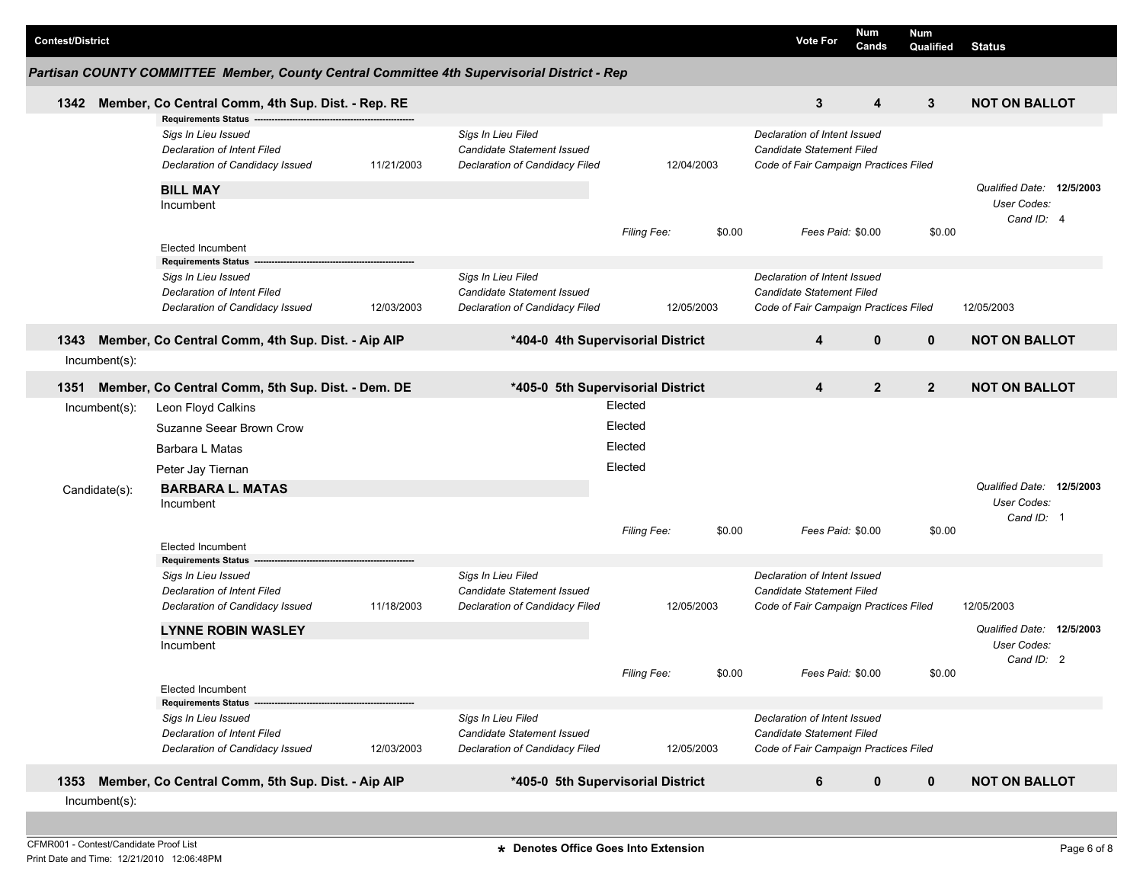| <b>Contest/District</b> |                  |                                                                                             |            |                                                              |                    |            |        | <b>Vote For</b>                                                    | Num<br>Cands   | Num<br>Qualified | <b>Status</b>             |  |
|-------------------------|------------------|---------------------------------------------------------------------------------------------|------------|--------------------------------------------------------------|--------------------|------------|--------|--------------------------------------------------------------------|----------------|------------------|---------------------------|--|
|                         |                  | Partisan COUNTY COMMITTEE Member, County Central Committee 4th Supervisorial District - Rep |            |                                                              |                    |            |        |                                                                    |                |                  |                           |  |
| 1342                    |                  | Member, Co Central Comm, 4th Sup. Dist. - Rep. RE                                           |            |                                                              |                    |            |        | 3                                                                  | 4              | 3                | <b>NOT ON BALLOT</b>      |  |
|                         |                  | <b>Requirements Status</b>                                                                  |            |                                                              |                    |            |        |                                                                    |                |                  |                           |  |
|                         |                  | Sigs In Lieu Issued                                                                         |            | Sigs In Lieu Filed                                           |                    |            |        | Declaration of Intent Issued                                       |                |                  |                           |  |
|                         |                  | Declaration of Intent Filed<br>Declaration of Candidacy Issued                              | 11/21/2003 | Candidate Statement Issued<br>Declaration of Candidacy Filed |                    | 12/04/2003 |        | Candidate Statement Filed<br>Code of Fair Campaign Practices Filed |                |                  |                           |  |
|                         |                  |                                                                                             |            |                                                              |                    |            |        |                                                                    |                |                  |                           |  |
|                         |                  | <b>BILL MAY</b>                                                                             |            |                                                              |                    |            |        |                                                                    |                |                  | Qualified Date: 12/5/2003 |  |
|                         |                  | Incumbent                                                                                   |            |                                                              |                    |            |        |                                                                    |                |                  | User Codes:<br>Cand ID: 4 |  |
|                         |                  |                                                                                             |            |                                                              | <b>Filing Fee:</b> |            | \$0.00 | Fees Paid: \$0.00                                                  |                | \$0.00           |                           |  |
|                         |                  | Elected Incumbent                                                                           |            |                                                              |                    |            |        |                                                                    |                |                  |                           |  |
|                         |                  | <b>Requirements Status</b>                                                                  |            |                                                              |                    |            |        |                                                                    |                |                  |                           |  |
|                         |                  | Sigs In Lieu Issued<br><b>Declaration of Intent Filed</b>                                   |            | Sigs In Lieu Filed<br>Candidate Statement Issued             |                    |            |        | Declaration of Intent Issued<br>Candidate Statement Filed          |                |                  |                           |  |
|                         |                  | Declaration of Candidacy Issued                                                             | 12/03/2003 | Declaration of Candidacy Filed                               |                    | 12/05/2003 |        | Code of Fair Campaign Practices Filed                              |                |                  | 12/05/2003                |  |
|                         |                  |                                                                                             |            |                                                              |                    |            |        |                                                                    |                |                  |                           |  |
| 1343                    |                  | Member, Co Central Comm, 4th Sup. Dist. - Aip AIP                                           |            | *404-0 4th Supervisorial District                            |                    |            |        | 4                                                                  | $\mathbf 0$    | $\mathbf 0$      | <b>NOT ON BALLOT</b>      |  |
|                         | $Incumbent(s)$ : |                                                                                             |            |                                                              |                    |            |        |                                                                    |                |                  |                           |  |
| 1351                    |                  | Member, Co Central Comm, 5th Sup. Dist. - Dem. DE                                           |            | *405-0 5th Supervisorial District                            |                    |            |        | 4                                                                  | $\overline{2}$ | $\overline{2}$   | <b>NOT ON BALLOT</b>      |  |
|                         | Incumbent(s):    | Leon Floyd Calkins                                                                          |            |                                                              | Elected            |            |        |                                                                    |                |                  |                           |  |
|                         |                  | Suzanne Seear Brown Crow                                                                    |            |                                                              | Elected            |            |        |                                                                    |                |                  |                           |  |
|                         |                  | Barbara L Matas                                                                             |            |                                                              | Elected            |            |        |                                                                    |                |                  |                           |  |
|                         |                  | Peter Jay Tiernan                                                                           |            |                                                              | Elected            |            |        |                                                                    |                |                  |                           |  |
|                         |                  |                                                                                             |            |                                                              |                    |            |        |                                                                    |                |                  | Qualified Date: 12/5/2003 |  |
|                         | Candidate(s):    | <b>BARBARA L. MATAS</b><br>Incumbent                                                        |            |                                                              |                    |            |        |                                                                    |                |                  | User Codes:               |  |
|                         |                  |                                                                                             |            |                                                              |                    |            |        |                                                                    |                |                  | Cand ID: 1                |  |
|                         |                  |                                                                                             |            |                                                              | <b>Filing Fee:</b> |            | \$0.00 | Fees Paid: \$0.00                                                  |                | \$0.00           |                           |  |
|                         |                  | Elected Incumbent<br><b>Requirements Status</b>                                             |            |                                                              |                    |            |        |                                                                    |                |                  |                           |  |
|                         |                  | Sigs In Lieu Issued                                                                         |            | Sigs In Lieu Filed                                           |                    |            |        | Declaration of Intent Issued                                       |                |                  |                           |  |
|                         |                  | <b>Declaration of Intent Filed</b>                                                          |            | Candidate Statement Issued                                   |                    |            |        | Candidate Statement Filed                                          |                |                  |                           |  |
|                         |                  | Declaration of Candidacy Issued                                                             | 11/18/2003 | Declaration of Candidacy Filed                               |                    | 12/05/2003 |        | Code of Fair Campaign Practices Filed                              |                |                  | 12/05/2003                |  |
|                         |                  | <b>LYNNE ROBIN WASLEY</b>                                                                   |            |                                                              |                    |            |        |                                                                    |                |                  | Qualified Date: 12/5/2003 |  |
|                         |                  | Incumbent                                                                                   |            |                                                              |                    |            |        |                                                                    |                |                  | User Codes:               |  |
|                         |                  |                                                                                             |            |                                                              |                    |            |        |                                                                    |                |                  | Cand ID: 2                |  |
|                         |                  | Elected Incumbent                                                                           |            |                                                              | <b>Filing Fee:</b> |            | \$0.00 | Fees Paid: \$0.00                                                  |                | \$0.00           |                           |  |
|                         |                  | <b>Requirements Status</b>                                                                  |            |                                                              |                    |            |        |                                                                    |                |                  |                           |  |
|                         |                  | Sigs In Lieu Issued                                                                         |            | Sigs In Lieu Filed                                           |                    |            |        | Declaration of Intent Issued                                       |                |                  |                           |  |
|                         |                  | <b>Declaration of Intent Filed</b>                                                          |            | Candidate Statement Issued                                   |                    |            |        | Candidate Statement Filed                                          |                |                  |                           |  |
|                         |                  | Declaration of Candidacy Issued                                                             | 12/03/2003 | Declaration of Candidacy Filed                               |                    | 12/05/2003 |        | Code of Fair Campaign Practices Filed                              |                |                  |                           |  |
| 1353                    |                  | Member, Co Central Comm, 5th Sup. Dist. - Aip AIP                                           |            | *405-0 5th Supervisorial District                            |                    |            |        | 6                                                                  | $\mathbf 0$    | $\mathbf 0$      | <b>NOT ON BALLOT</b>      |  |
|                         | Incumbent(s):    |                                                                                             |            |                                                              |                    |            |        |                                                                    |                |                  |                           |  |
|                         |                  |                                                                                             |            |                                                              |                    |            |        |                                                                    |                |                  |                           |  |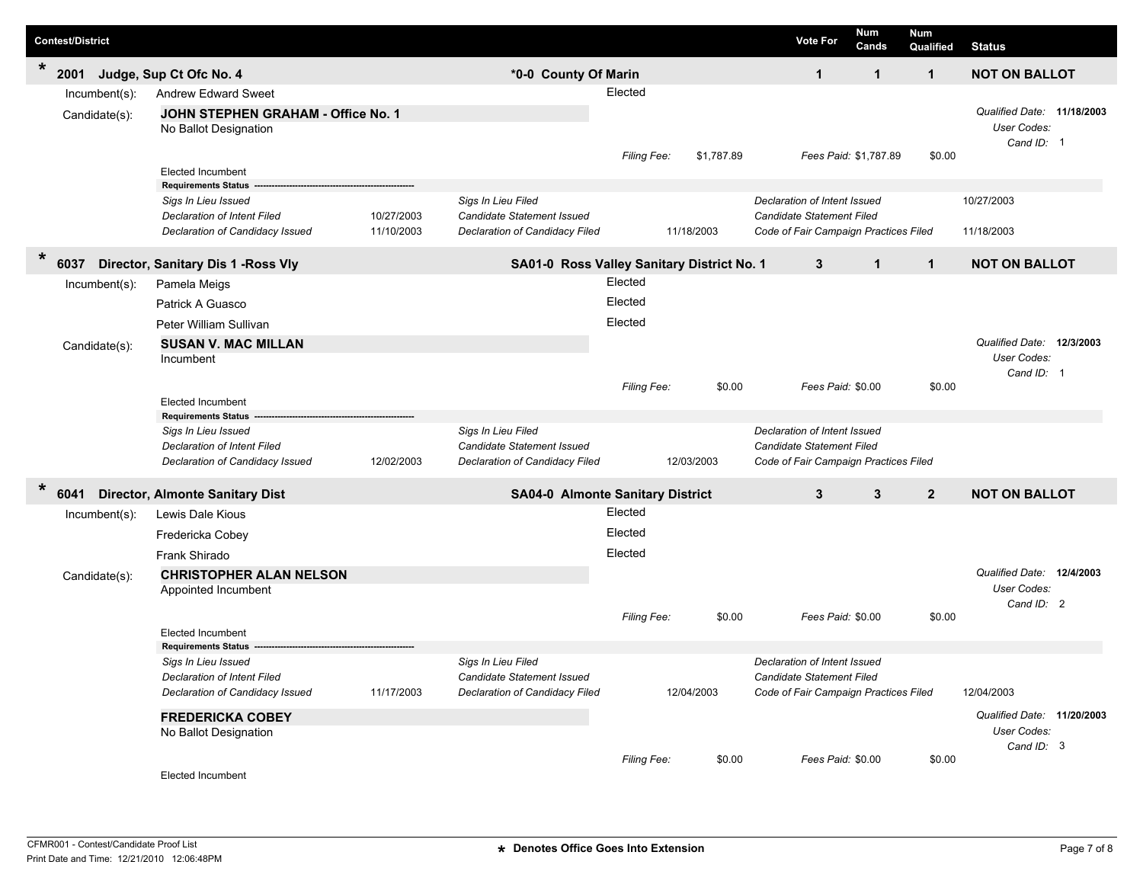|        | <b>Contest/District</b>                |                                                                                                                                                        |                          |                                                                                    |                               |                          | <b>Vote For</b>                                                                                    | <b>Num</b><br>Cands   | Num<br>Qualified | <b>Status</b>                                                    |  |
|--------|----------------------------------------|--------------------------------------------------------------------------------------------------------------------------------------------------------|--------------------------|------------------------------------------------------------------------------------|-------------------------------|--------------------------|----------------------------------------------------------------------------------------------------|-----------------------|------------------|------------------------------------------------------------------|--|
| $\ast$ | 2001                                   | Judge, Sup Ct Ofc No. 4                                                                                                                                |                          | *0-0 County Of Marin                                                               |                               |                          | $\mathbf{1}$                                                                                       | $\mathbf{1}$          | $\mathbf{1}$     | <b>NOT ON BALLOT</b>                                             |  |
|        | Incumbent(s):<br>Candidate(s):         | <b>Andrew Edward Sweet</b><br>JOHN STEPHEN GRAHAM - Office No. 1<br>No Ballot Designation                                                              |                          |                                                                                    | Elected                       |                          |                                                                                                    |                       |                  | Qualified Date: 11/18/2003<br>User Codes:<br>Cand ID: 1          |  |
|        |                                        | <b>Elected Incumbent</b><br><b>Requirements Status</b><br>Sigs In Lieu Issued<br><b>Declaration of Intent Filed</b><br>Declaration of Candidacy Issued | 10/27/2003<br>11/10/2003 | Sigs In Lieu Filed<br>Candidate Statement Issued<br>Declaration of Candidacy Filed | Filing Fee:                   | \$1,787.89<br>11/18/2003 | Declaration of Intent Issued<br>Candidate Statement Filed<br>Code of Fair Campaign Practices Filed | Fees Paid: \$1,787.89 | \$0.00           | 10/27/2003<br>11/18/2003                                         |  |
| $\ast$ |                                        |                                                                                                                                                        |                          |                                                                                    |                               |                          |                                                                                                    |                       |                  |                                                                  |  |
|        | 6037<br>Incumbent(s):<br>Candidate(s): | Director, Sanitary Dis 1 - Ross Vly<br>Pamela Meigs<br>Patrick A Guasco<br>Peter William Sullivan<br><b>SUSAN V. MAC MILLAN</b><br>Incumbent           |                          | SA01-0 Ross Valley Sanitary District No. 1                                         | Elected<br>Elected<br>Elected |                          | 3                                                                                                  | $\mathbf{1}$          | $\mathbf 1$      | <b>NOT ON BALLOT</b><br>Qualified Date: 12/3/2003<br>User Codes: |  |
|        |                                        | <b>Elected Incumbent</b><br><b>Requirements Status</b><br>Sigs In Lieu Issued<br><b>Declaration of Intent Filed</b><br>Declaration of Candidacy Issued | 12/02/2003               | Sigs In Lieu Filed<br>Candidate Statement Issued<br>Declaration of Candidacy Filed | Filing Fee:                   | \$0.00<br>12/03/2003     | Declaration of Intent Issued<br>Candidate Statement Filed<br>Code of Fair Campaign Practices Filed | Fees Paid: \$0.00     | \$0.00           | Cand ID: 1                                                       |  |
| $\ast$ | 6041                                   | <b>Director, Almonte Sanitary Dist</b>                                                                                                                 |                          | <b>SA04-0 Almonte Sanitary District</b>                                            |                               |                          | 3                                                                                                  | 3                     | $\overline{2}$   | <b>NOT ON BALLOT</b>                                             |  |
|        | $Incumbent(s)$ :<br>Candidate(s):      | Lewis Dale Kious<br>Fredericka Cobey<br>Frank Shirado<br><b>CHRISTOPHER ALAN NELSON</b><br>Appointed Incumbent                                         |                          |                                                                                    | Elected<br>Elected<br>Elected |                          |                                                                                                    |                       |                  | Qualified Date: 12/4/2003<br>User Codes:<br>Cand ID: 2           |  |
|        |                                        | <b>Elected Incumbent</b><br><b>Requirements Status</b>                                                                                                 |                          |                                                                                    | Filing Fee:                   | \$0.00                   |                                                                                                    | Fees Paid: \$0.00     | \$0.00           |                                                                  |  |
|        |                                        | Sigs In Lieu Issued<br><b>Declaration of Intent Filed</b><br>Declaration of Candidacy Issued                                                           | 11/17/2003               | Sigs In Lieu Filed<br>Candidate Statement Issued<br>Declaration of Candidacy Filed |                               | 12/04/2003               | Declaration of Intent Issued<br>Candidate Statement Filed<br>Code of Fair Campaign Practices Filed |                       |                  | 12/04/2003                                                       |  |
|        |                                        | <b>FREDERICKA COBEY</b><br>No Ballot Designation                                                                                                       |                          |                                                                                    | Filing Fee:                   | \$0.00                   |                                                                                                    | Fees Paid: \$0.00     | \$0.00           | Qualified Date: 11/20/2003<br>User Codes:<br>Cand ID: 3          |  |
|        |                                        | Elected Incumbent                                                                                                                                      |                          |                                                                                    |                               |                          |                                                                                                    |                       |                  |                                                                  |  |